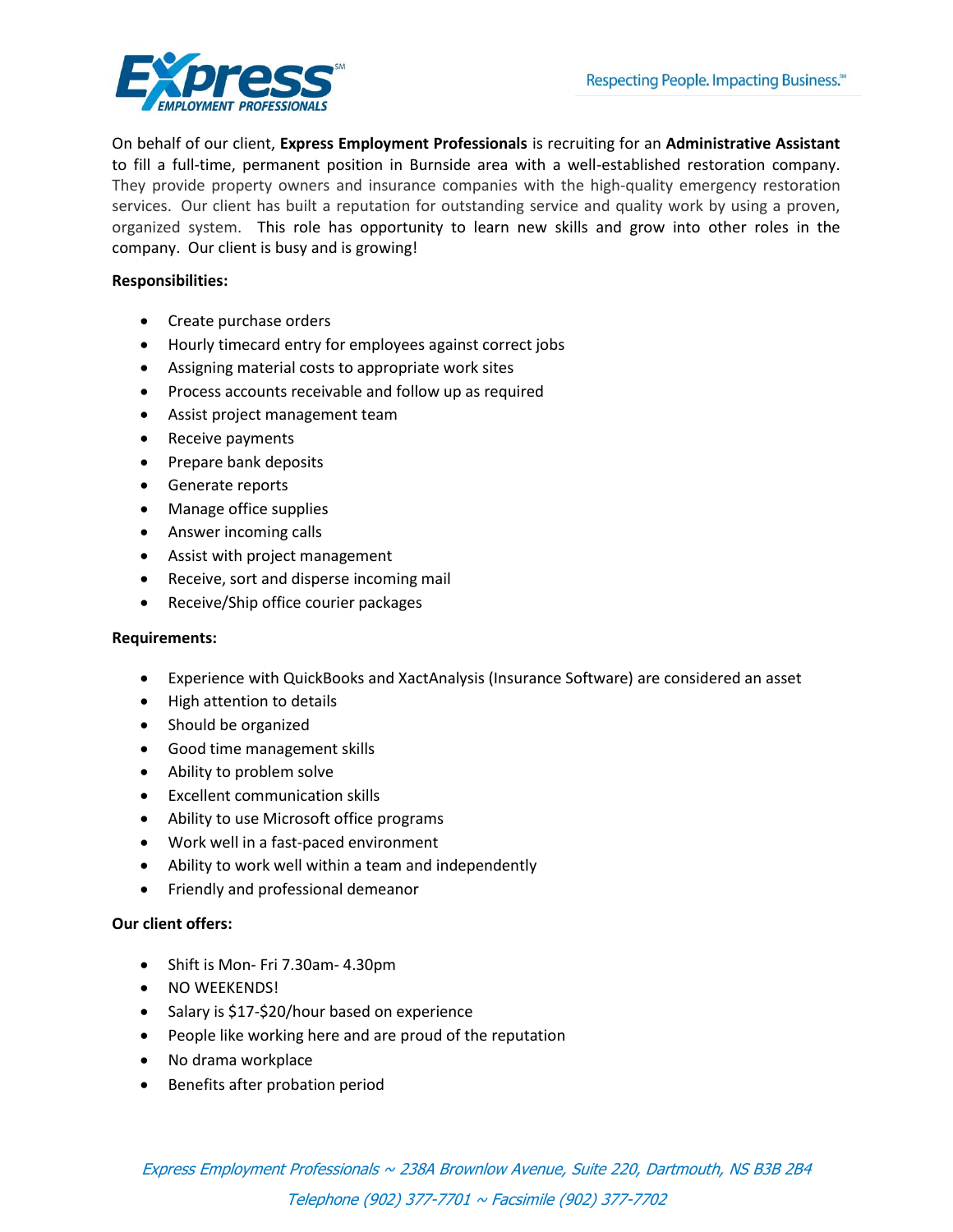

On behalf of our client, **Express Employment Professionals** is recruiting for an **Administrative Assistant**  to fill a full-time, permanent position in Burnside area with a well-established restoration company. They provide property owners and insurance companies with the high-quality emergency restoration services. Our client has built a reputation for outstanding service and quality work by using a proven, organized system. This role has opportunity to learn new skills and grow into other roles in the company. Our client is busy and is growing!

## **Responsibilities:**

- Create purchase orders
- Hourly timecard entry for employees against correct jobs
- Assigning material costs to appropriate work sites
- Process accounts receivable and follow up as required
- Assist project management team
- Receive payments
- Prepare bank deposits
- Generate reports
- Manage office supplies
- Answer incoming calls
- Assist with project management
- Receive, sort and disperse incoming mail
- Receive/Ship office courier packages

## **Requirements:**

- Experience with QuickBooks and XactAnalysis (Insurance Software) are considered an asset
- High attention to details
- Should be organized
- Good time management skills
- Ability to problem solve
- Excellent communication skills
- Ability to use Microsoft office programs
- Work well in a fast-paced environment
- Ability to work well within a team and independently
- Friendly and professional demeanor

## **Our client offers:**

- Shift is Mon- Fri 7.30am- 4.30pm
- NO WEEKENDS!
- Salary is \$17-\$20/hour based on experience
- People like working here and are proud of the reputation
- No drama workplace
- Benefits after probation period

Express Employment Professionals ~ 238A Brownlow Avenue, Suite 220, Dartmouth, NS B3B 2B4 Telephone (902) 377-7701 ~ Facsimile (902) 377-7702